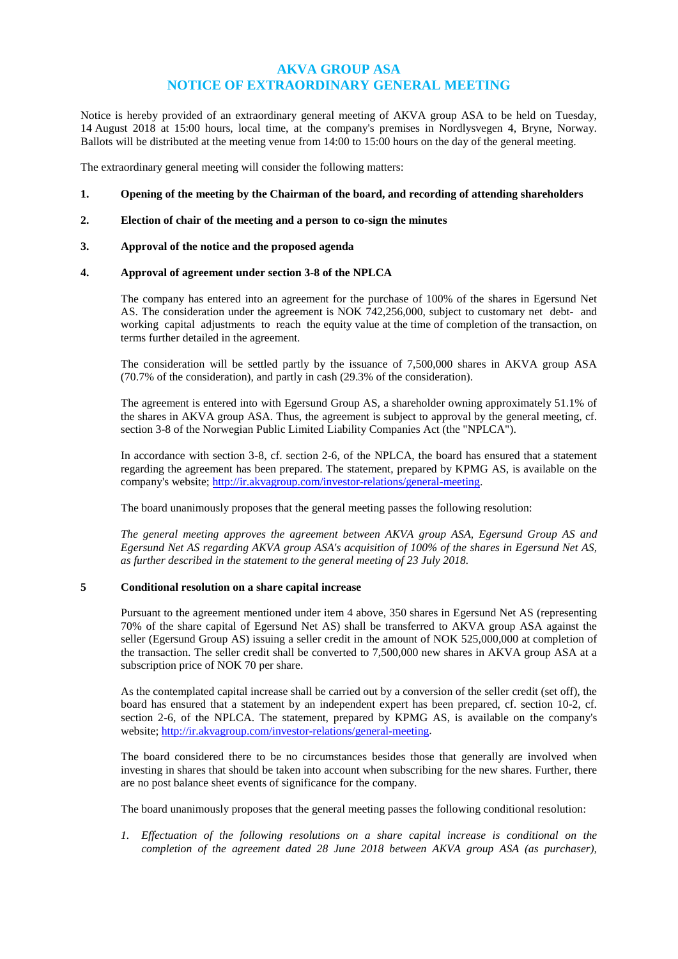# **AKVA GROUP ASA NOTICE OF EXTRAORDINARY GENERAL MEETING**

Notice is hereby provided of an extraordinary general meeting of AKVA group ASA to be held on Tuesday, 14 August 2018 at 15:00 hours, local time, at the company's premises in Nordlysvegen 4, Bryne, Norway. Ballots will be distributed at the meeting venue from 14:00 to 15:00 hours on the day of the general meeting.

The extraordinary general meeting will consider the following matters:

- **1. Opening of the meeting by the Chairman of the board, and recording of attending shareholders**
- **2. Election of chair of the meeting and a person to co-sign the minutes**

### **3. Approval of the notice and the proposed agenda**

### **4. Approval of agreement under section 3-8 of the NPLCA**

The company has entered into an agreement for the purchase of 100% of the shares in Egersund Net AS. The consideration under the agreement is NOK 742,256,000, subject to customary net debt- and working capital adjustments to reach the equity value at the time of completion of the transaction, on terms further detailed in the agreement.

The consideration will be settled partly by the issuance of 7,500,000 shares in AKVA group ASA (70.7% of the consideration), and partly in cash (29.3% of the consideration).

The agreement is entered into with Egersund Group AS, a shareholder owning approximately 51.1% of the shares in AKVA group ASA. Thus, the agreement is subject to approval by the general meeting, cf. section 3-8 of the Norwegian Public Limited Liability Companies Act (the "NPLCA").

In accordance with section 3-8, cf. section 2-6, of the NPLCA, the board has ensured that a statement regarding the agreement has been prepared. The statement, prepared by KPMG AS, is available on the company's website; [http://ir.akvagroup.com/investor-relations/general-meeting.](http://ir.akvagroup.com/investor-relations/general-meeting)

The board unanimously proposes that the general meeting passes the following resolution:

*The general meeting approves the agreement between AKVA group ASA, Egersund Group AS and Egersund Net AS regarding AKVA group ASA's acquisition of 100% of the shares in Egersund Net AS, as further described in the statement to the general meeting of 23 July 2018.*

# **5 Conditional resolution on a share capital increase**

Pursuant to the agreement mentioned under item 4 above, 350 shares in Egersund Net AS (representing 70% of the share capital of Egersund Net AS) shall be transferred to AKVA group ASA against the seller (Egersund Group AS) issuing a seller credit in the amount of NOK 525,000,000 at completion of the transaction. The seller credit shall be converted to 7,500,000 new shares in AKVA group ASA at a subscription price of NOK 70 per share.

As the contemplated capital increase shall be carried out by a conversion of the seller credit (set off), the board has ensured that a statement by an independent expert has been prepared, cf. section 10-2, cf. section 2-6, of the NPLCA. The statement, prepared by KPMG AS, is available on the company's website; [http://ir.akvagroup.com/investor-relations/general-meeting.](http://ir.akvagroup.com/investor-relations/general-meeting)

The board considered there to be no circumstances besides those that generally are involved when investing in shares that should be taken into account when subscribing for the new shares. Further, there are no post balance sheet events of significance for the company.

The board unanimously proposes that the general meeting passes the following conditional resolution:

*1. Effectuation of the following resolutions on a share capital increase is conditional on the completion of the agreement dated 28 June 2018 between AKVA group ASA (as purchaser),*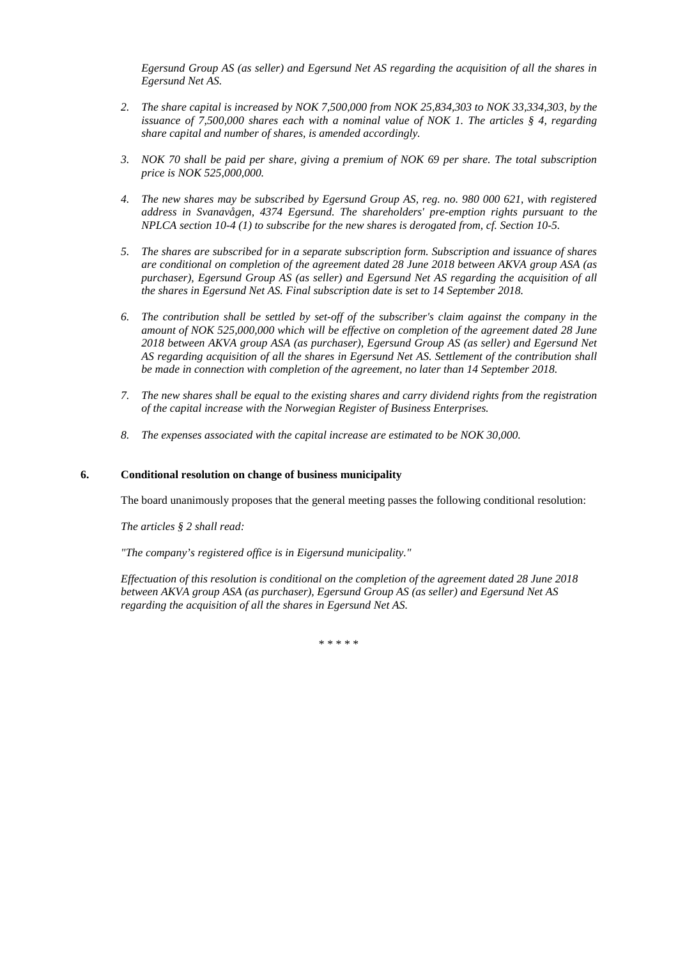*Egersund Group AS (as seller) and Egersund Net AS regarding the acquisition of all the shares in Egersund Net AS.*

- *2. The share capital is increased by NOK 7,500,000 from NOK 25,834,303 to NOK 33,334,303, by the issuance of 7,500,000 shares each with a nominal value of NOK 1. The articles § 4, regarding share capital and number of shares, is amended accordingly.*
- *3. NOK 70 shall be paid per share, giving a premium of NOK 69 per share. The total subscription price is NOK 525,000,000.*
- *4. The new shares may be subscribed by Egersund Group AS, reg. no. 980 000 621, with registered address in Svanavågen, 4374 Egersund. The shareholders' pre-emption rights pursuant to the NPLCA section 10-4 (1) to subscribe for the new shares is derogated from, cf. Section 10-5.*
- *5. The shares are subscribed for in a separate subscription form. Subscription and issuance of shares are conditional on completion of the agreement dated 28 June 2018 between AKVA group ASA (as purchaser), Egersund Group AS (as seller) and Egersund Net AS regarding the acquisition of all the shares in Egersund Net AS. Final subscription date is set to 14 September 2018.*
- *6. The contribution shall be settled by set-off of the subscriber's claim against the company in the amount of NOK 525,000,000 which will be effective on completion of the agreement dated 28 June 2018 between AKVA group ASA (as purchaser), Egersund Group AS (as seller) and Egersund Net AS regarding acquisition of all the shares in Egersund Net AS. Settlement of the contribution shall be made in connection with completion of the agreement, no later than 14 September 2018.*
- *7. The new shares shall be equal to the existing shares and carry dividend rights from the registration of the capital increase with the Norwegian Register of Business Enterprises.*
- *8. The expenses associated with the capital increase are estimated to be NOK 30,000.*

## **6. Conditional resolution on change of business municipality**

The board unanimously proposes that the general meeting passes the following conditional resolution:

*The articles § 2 shall read:*

*"The company's registered office is in Eigersund municipality."*

*Effectuation of this resolution is conditional on the completion of the agreement dated 28 June 2018 between AKVA group ASA (as purchaser), Egersund Group AS (as seller) and Egersund Net AS regarding the acquisition of all the shares in Egersund Net AS.*

\* \* \* \* \*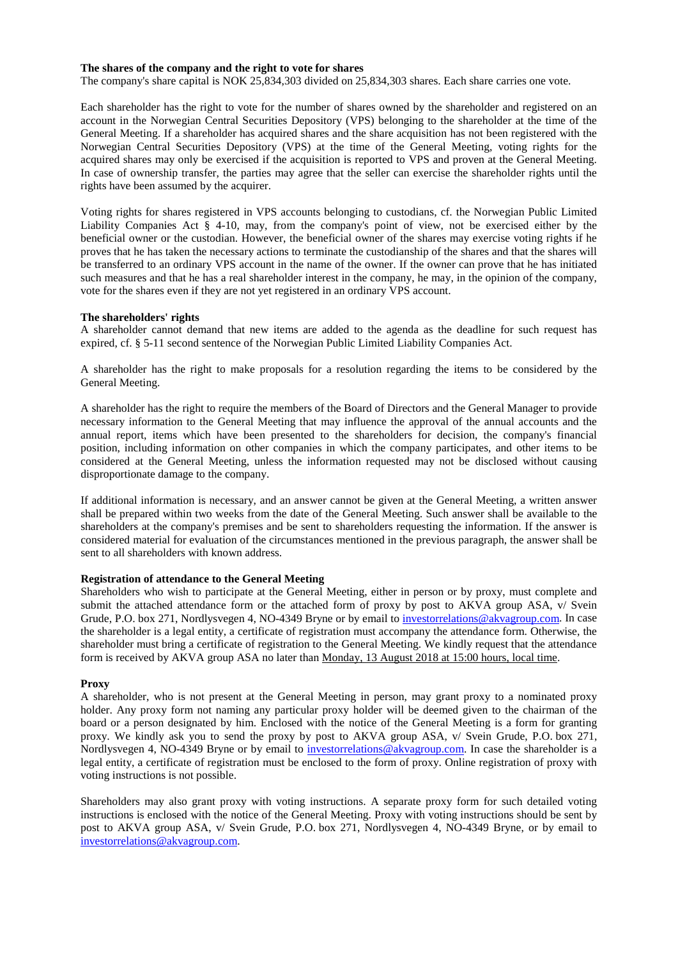### **The shares of the company and the right to vote for shares**

The company's share capital is NOK 25,834,303 divided on 25,834,303 shares. Each share carries one vote.

Each shareholder has the right to vote for the number of shares owned by the shareholder and registered on an account in the Norwegian Central Securities Depository (VPS) belonging to the shareholder at the time of the General Meeting. If a shareholder has acquired shares and the share acquisition has not been registered with the Norwegian Central Securities Depository (VPS) at the time of the General Meeting, voting rights for the acquired shares may only be exercised if the acquisition is reported to VPS and proven at the General Meeting. In case of ownership transfer, the parties may agree that the seller can exercise the shareholder rights until the rights have been assumed by the acquirer.

Voting rights for shares registered in VPS accounts belonging to custodians, cf. the Norwegian Public Limited Liability Companies Act § 4-10, may, from the company's point of view, not be exercised either by the beneficial owner or the custodian. However, the beneficial owner of the shares may exercise voting rights if he proves that he has taken the necessary actions to terminate the custodianship of the shares and that the shares will be transferred to an ordinary VPS account in the name of the owner. If the owner can prove that he has initiated such measures and that he has a real shareholder interest in the company, he may, in the opinion of the company, vote for the shares even if they are not yet registered in an ordinary VPS account.

### **The shareholders' rights**

A shareholder cannot demand that new items are added to the agenda as the deadline for such request has expired, cf. § 5-11 second sentence of the Norwegian Public Limited Liability Companies Act.

A shareholder has the right to make proposals for a resolution regarding the items to be considered by the General Meeting.

A shareholder has the right to require the members of the Board of Directors and the General Manager to provide necessary information to the General Meeting that may influence the approval of the annual accounts and the annual report, items which have been presented to the shareholders for decision, the company's financial position, including information on other companies in which the company participates, and other items to be considered at the General Meeting, unless the information requested may not be disclosed without causing disproportionate damage to the company.

If additional information is necessary, and an answer cannot be given at the General Meeting, a written answer shall be prepared within two weeks from the date of the General Meeting. Such answer shall be available to the shareholders at the company's premises and be sent to shareholders requesting the information. If the answer is considered material for evaluation of the circumstances mentioned in the previous paragraph, the answer shall be sent to all shareholders with known address.

### **Registration of attendance to the General Meeting**

Shareholders who wish to participate at the General Meeting, either in person or by proxy, must complete and submit the attached attendance form or the attached form of proxy by post to AKVA group ASA, v/ Svein Grude, P.O. box 271, Nordlysvegen 4, NO-4349 Bryne or by email to *investorrelations@akvagroup.com*. In case the shareholder is a legal entity, a certificate of registration must accompany the attendance form. Otherwise, the shareholder must bring a certificate of registration to the General Meeting. We kindly request that the attendance form is received by AKVA group ASA no later than Monday, 13 August 2018 at 15:00 hours, local time.

#### **Proxy**

A shareholder, who is not present at the General Meeting in person, may grant proxy to a nominated proxy holder. Any proxy form not naming any particular proxy holder will be deemed given to the chairman of the board or a person designated by him. Enclosed with the notice of the General Meeting is a form for granting proxy. We kindly ask you to send the proxy by post to AKVA group ASA, v/ Svein Grude, P.O. box 271, Nordlysvegen 4, NO-4349 Bryne or by email to *investorrelations@akvagroup.com*. In case the shareholder is a legal entity, a certificate of registration must be enclosed to the form of proxy. Online registration of proxy with voting instructions is not possible.

Shareholders may also grant proxy with voting instructions. A separate proxy form for such detailed voting instructions is enclosed with the notice of the General Meeting. Proxy with voting instructions should be sent by post to AKVA group ASA, v/ Svein Grude, P.O. box 271, Nordlysvegen 4, NO-4349 Bryne, or by email to [investorrelations@akvagroup.com.](mailto:investorrelations@akvagroup.com)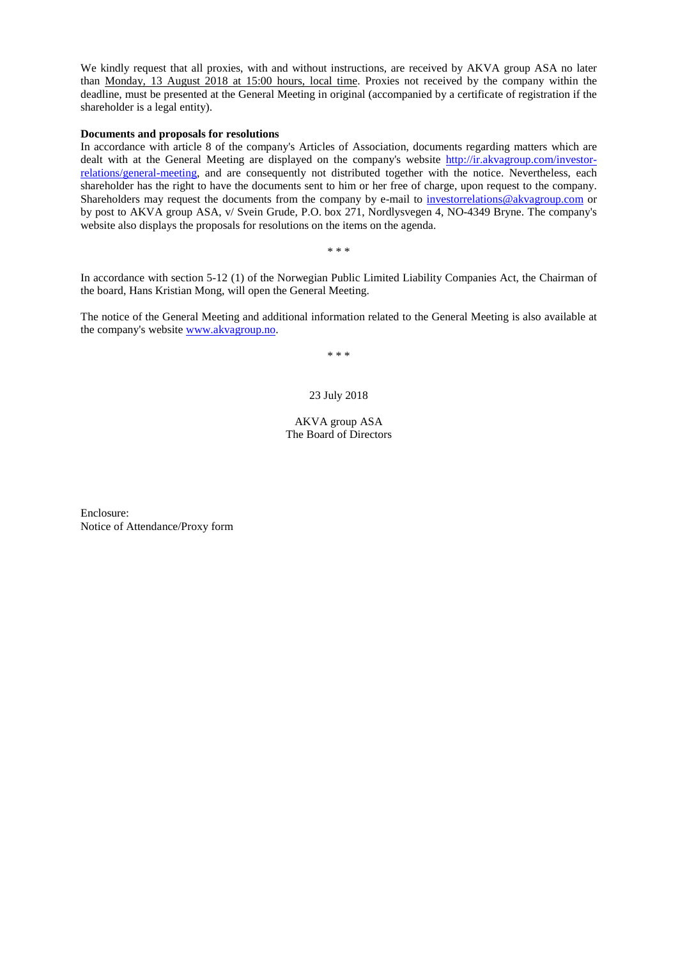We kindly request that all proxies, with and without instructions, are received by AKVA group ASA no later than Monday, 13 August 2018 at 15:00 hours, local time. Proxies not received by the company within the deadline, must be presented at the General Meeting in original (accompanied by a certificate of registration if the shareholder is a legal entity).

### **Documents and proposals for resolutions**

In accordance with article 8 of the company's Articles of Association, documents regarding matters which are dealt with at the General Meeting are displayed on the company's website [http://ir.akvagroup.com/investor](http://ir.akvagroup.com/investor-relations/general-meeting)[relations/general-meeting,](http://ir.akvagroup.com/investor-relations/general-meeting) and are consequently not distributed together with the notice. Nevertheless, each shareholder has the right to have the documents sent to him or her free of charge, upon request to the company. Shareholders may request the documents from the company by e-mail to [investorrelations@akvagroup.com](mailto:investorrelations@akvagroup.com) or by post to AKVA group ASA, v/ Svein Grude, P.O. box 271, Nordlysvegen 4, NO-4349 Bryne. The company's website also displays the proposals for resolutions on the items on the agenda.

\* \* \*

In accordance with section 5-12 (1) of the Norwegian Public Limited Liability Companies Act, the Chairman of the board, Hans Kristian Mong, will open the General Meeting.

The notice of the General Meeting and additional information related to the General Meeting is also available at the company's website [www.akvagroup.no.](http://www.akvagroup.no/)

\* \* \*

# 23 July 2018

# AKVA group ASA The Board of Directors

Enclosure: Notice of Attendance/Proxy form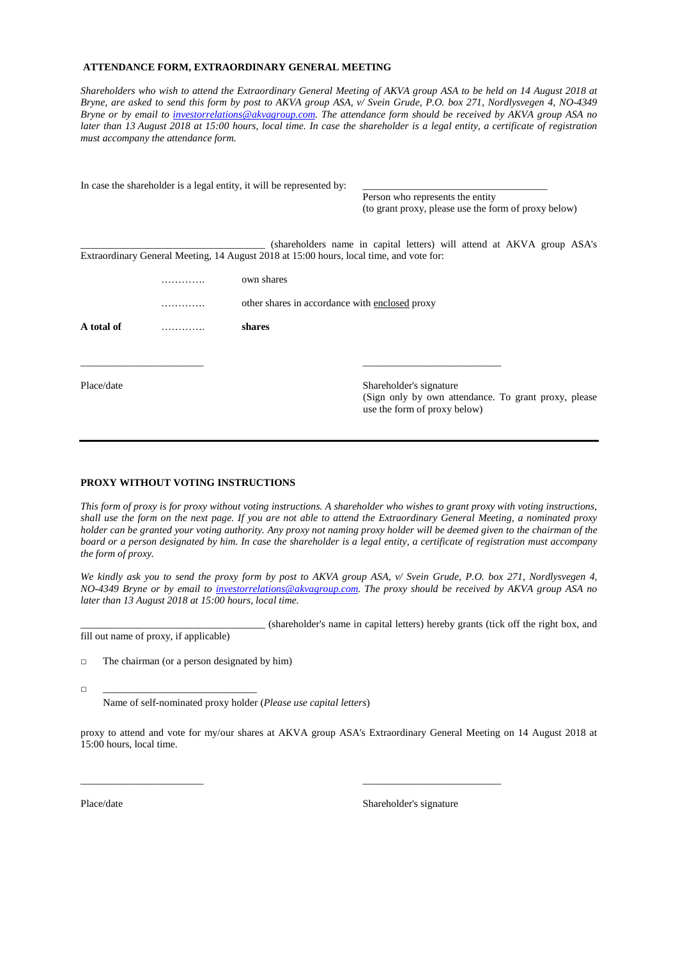## **ATTENDANCE FORM, EXTRAORDINARY GENERAL MEETING**

*Shareholders who wish to attend the Extraordinary General Meeting of AKVA group ASA to be held on 14 August 2018 at Bryne, are asked to send this form by post to AKVA group ASA, v/ Svein Grude, P.O. box 271, Nordlysvegen 4, NO-4349 Bryne or by email to [investorrelations@akvagroup.com.](mailto:investorrelations@akvagroup.com) The attendance form should be received by AKVA group ASA no later than 13 August 2018 at 15:00 hours, local time. In case the shareholder is a legal entity, a certificate of registration must accompany the attendance form.* 

| In case the shareholder is a legal entity, it will be represented by: |   |                                                                                         | Person who represents the entity<br>(to grant proxy, please use the form of proxy below)                         |  |  |
|-----------------------------------------------------------------------|---|-----------------------------------------------------------------------------------------|------------------------------------------------------------------------------------------------------------------|--|--|
|                                                                       |   | Extraordinary General Meeting, 14 August 2018 at 15:00 hours, local time, and vote for: | (shareholders name in capital letters) will attend at AKVA group ASA's                                           |  |  |
|                                                                       |   | own shares                                                                              |                                                                                                                  |  |  |
|                                                                       | . | other shares in accordance with enclosed proxy                                          |                                                                                                                  |  |  |
| A total of                                                            |   | shares                                                                                  |                                                                                                                  |  |  |
|                                                                       |   |                                                                                         |                                                                                                                  |  |  |
| Place/date                                                            |   |                                                                                         | Shareholder's signature<br>(Sign only by own attendance. To grant proxy, please)<br>use the form of proxy below) |  |  |

## **PROXY WITHOUT VOTING INSTRUCTIONS**

*This form of proxy is for proxy without voting instructions. A shareholder who wishes to grant proxy with voting instructions, shall use the form on the next page. If you are not able to attend the Extraordinary General Meeting, a nominated proxy holder can be granted your voting authority. Any proxy not naming proxy holder will be deemed given to the chairman of the board or a person designated by him. In case the shareholder is a legal entity, a certificate of registration must accompany the form of proxy.*

*We kindly ask you to send the proxy form by post to AKVA group ASA, v/ Svein Grude, P.O. box 271, Nordlysvegen 4, NO-4349 Bryne or by email to [investorrelations@akvagroup.com.](mailto:investorrelations@akvagroup.com) The proxy should be received by AKVA group ASA no later than 13 August 2018 at 15:00 hours, local time.*

\_\_\_\_\_\_\_\_\_\_\_\_\_\_\_\_\_\_\_\_\_\_\_\_\_\_\_\_\_\_\_\_\_\_\_\_ (shareholder's name in capital letters) hereby grants (tick off the right box, and fill out name of proxy, if applicable)

□ The chairman (or a person designated by him)

□ \_\_\_\_\_\_\_\_\_\_\_\_\_\_\_\_\_\_\_\_\_\_\_\_\_\_\_\_\_\_

Name of self-nominated proxy holder (*Please use capital letters*)

proxy to attend and vote for my/our shares at AKVA group ASA's Extraordinary General Meeting on 14 August 2018 at 15:00 hours, local time.

\_\_\_\_\_\_\_\_\_\_\_\_\_\_\_\_\_\_\_\_\_\_\_\_ \_\_\_\_\_\_\_\_\_\_\_\_\_\_\_\_\_\_\_\_\_\_\_\_\_\_\_

Place/date Shareholder's signature